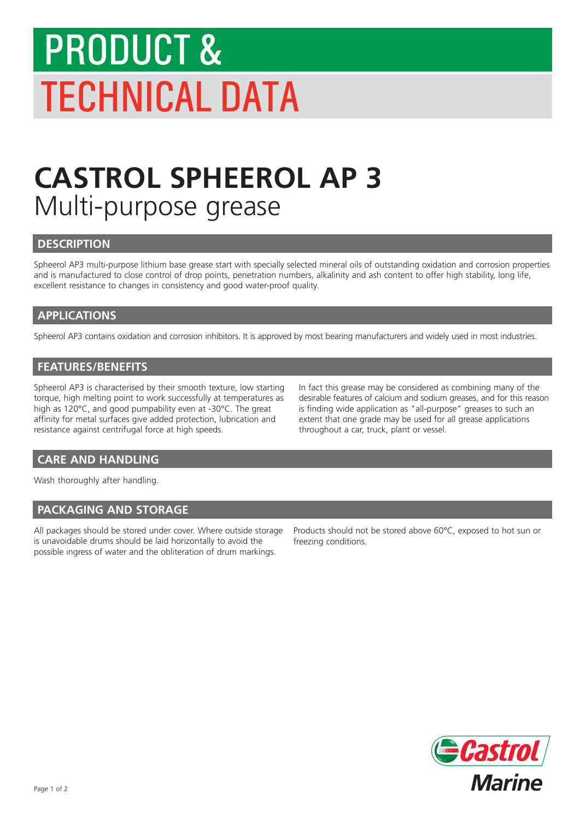# PRODUCT & TECHNICAL DATA

# **CASTROL SPHEEROL AP 3** Multi-purpose grease

### **DESCRIPTION**

Spheerol AP3 multi-purpose lithium base grease start with specially selected mineral oils of outstanding oxidation and corrosion properties and is manufactured to close control of drop points, penetration numbers, alkalinity and ash content to offer high stability, long life, excellent resistance to changes in consistency and good water-proof quality.

### **APPLICATIONS**

Spheerol AP3 contains oxidation and corrosion inhibitors. It is approved by most bearing manufacturers and widely used in most industries.

### **FEATURES/BENEFITS**

Spheerol AP3 is characterised by their smooth texture, low starting torque, high melting point to work successfully at temperatures as high as 120°C, and good pumpability even at -30°C. The great affinity for metal surfaces give added protection, lubrication and resistance against centrifugal force at high speeds.

In fact this grease may be considered as combining many of the desirable features of calcium and sodium greases, and for this reason is finding wide application as "all-purpose" greases to such an extent that one grade may be used for all grease applications throughout a car, truck, plant or vessel.

# **CARE AND HANDLING**

Wash thoroughly after handling.

#### **PACKAGING AND STORAGE**

All packages should be stored under cover. Where outside storage is unavoidable drums should be laid horizontally to avoid the possible ingress of water and the obliteration of drum markings.

Products should not be stored above 60°C, exposed to hot sun or freezing conditions.